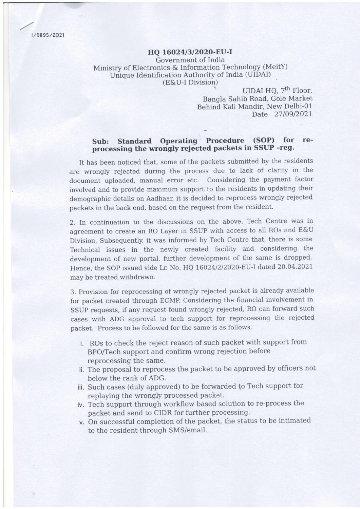t/ 989s /2021

## HO 16024/3/2020-EU-I Government of India Ministry of Electronics & Information Technology (MeitY) Unique Identification Authority of India (UIDAI) (E&U-I Division)

UIDAI HO, 7<sup>th</sup> Floor, Bangla Sahib Road, Gole Market Behind Kali Mandir, New Delhi-O1 Date: 27/09/2021

## Sub: Standard Operating Procedure (SOP) for reprocessing the wrongly rejected packets in SSUP -reg.

It has been noticed that, some of the packets submitted by the residents are wrongly rejected during the process due to lack of clarity in the document uploaded, manual error etc. Considering the payment factor involved and to provide maximum support to the residents in updating their demographic details on Aadhaar, it is decided to reprocess wrongly reiected packets in the back end, based on the request from the resident.

2. In continuation to the discussions on the above, Tech Centre was in agreement to create an RO Layer in SSUP with access to all ROs and E&U Division. Subsequently, it was informed by Tech Centre that, there is some Technicai issues in the newly created faciilty and considering the development of new portal, further development of the same is dropped. Hence, the SOP issued vide Lr. No. HQ 16024/2/2020-EU-I dated 20.04.2021 may be treated withdrawn.

3. Provision for reprocessing of wrongly rejected packet is already available for packet created through ECMP. Considering the financial involvement in SSUP requests, if any request found wrongly rejected, RO can forward such cases with ADG approval to tech support for reprocessing the rejected packet. Process to be followed for the same is as follows.

- i. ROs to check the reject reason of such packet with support from BPO/Tech support and confirm wrong rejection before reprocessing the same.
- ii. The proposal to reprocess the packet to be approved by officers not below the rank of ADG.
- Such cases (duly approved) to be forwarded to Tech support for replaying the wrongly processed packet.
- iv. Tech support through workflow based solution to re-process the packet and send to CIDR for further processing.
- v. On successful completion of the packet, the status to be intimated to the resident through SMS/email.